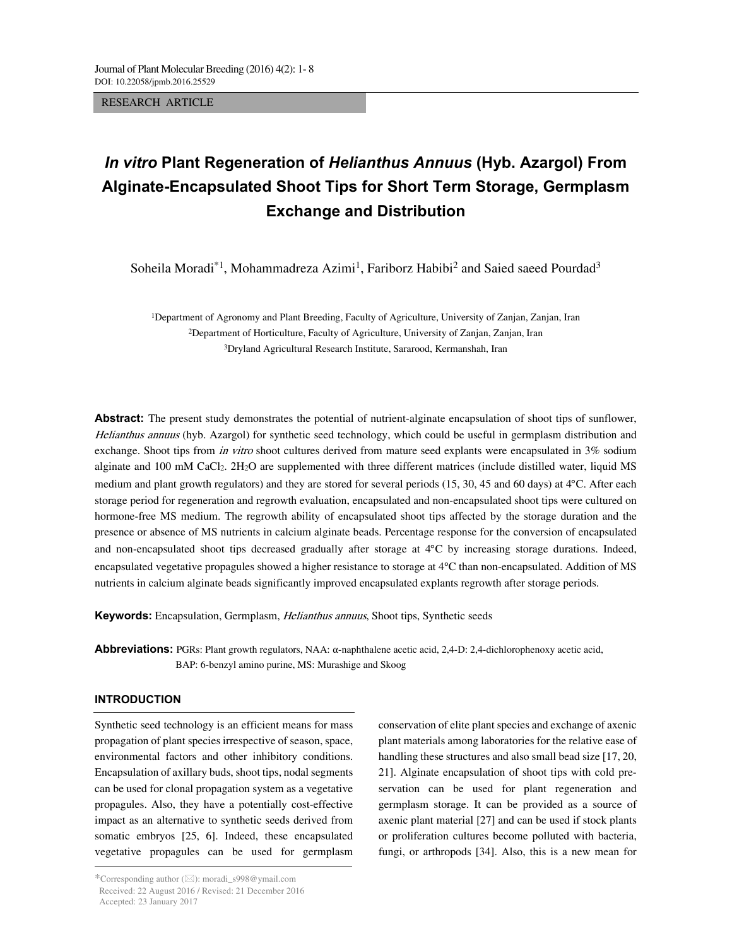RESEARCH ARTICLE

# *In vitro* **Plant Regeneration of** *Helianthus Annuus* **(Hyb. Azargol) From Alginate-Encapsulated Shoot Tips for Short Term Storage, Germplasm Exchange and Distribution**

Soheila Moradi<sup>\*1</sup>, Mohammadreza Azimi<sup>1</sup>, Fariborz Habibi<sup>2</sup> and Saied saeed Pourdad<sup>3</sup>

1Department of Agronomy and Plant Breeding, Faculty of Agriculture, University of Zanjan, Zanjan, Iran 2Department of Horticulture, Faculty of Agriculture, University of Zanjan, Zanjan, Iran 3Dryland Agricultural Research Institute, Sararood, Kermanshah, Iran

**Abstract:** The present study demonstrates the potential of nutrient-alginate encapsulation of shoot tips of sunflower, Helianthus annuus (hyb. Azargol) for synthetic seed technology, which could be useful in germplasm distribution and exchange. Shoot tips from *in vitro* shoot cultures derived from mature seed explants were encapsulated in 3% sodium alginate and 100 mM CaCl<sub>2</sub>. 2H<sub>2</sub>O are supplemented with three different matrices (include distilled water, liquid MS medium and plant growth regulators) and they are stored for several periods (15, 30, 45 and 60 days) at 4°C. After each storage period for regeneration and regrowth evaluation, encapsulated and non-encapsulated shoot tips were cultured on hormone-free MS medium. The regrowth ability of encapsulated shoot tips affected by the storage duration and the presence or absence of MS nutrients in calcium alginate beads. Percentage response for the conversion of encapsulated and non-encapsulated shoot tips decreased gradually after storage at 4°C by increasing storage durations. Indeed, encapsulated vegetative propagules showed a higher resistance to storage at 4°C than non-encapsulated. Addition of MS nutrients in calcium alginate beads significantly improved encapsulated explants regrowth after storage periods.

**Keywords:** Encapsulation, Germplasm, Helianthus annuus, Shoot tips, Synthetic seeds

**Abbreviations:** PGRs: Plant growth regulators, NAA: α-naphthalene acetic acid, 2,4-D: 2,4-dichlorophenoxy acetic acid, BAP: 6-benzyl amino purine, MS: Murashige and Skoog

#### **INTRODUCTION**

--------------------------------------------------------------------------------- Synthetic seed technology is an efficient means for mass propagation of plant species irrespective of season, space, environmental factors and other inhibitory conditions. Encapsulation of axillary buds, shoot tips, nodal segments can be used for clonal propagation system as a vegetative propagules. Also, they have a potentially cost-effective impact as an alternative to synthetic seeds derived from somatic embryos [25, 6]. Indeed, these encapsulated vegetative propagules can be used for germplasm

conservation of elite plant species and exchange of axenic plant materials among laboratories for the relative ease of handling these structures and also small bead size [17, 20, 21]. Alginate encapsulation of shoot tips with cold preservation can be used for plant regeneration and germplasm storage. It can be provided as a source of axenic plant material [27] and can be used if stock plants or proliferation cultures become polluted with bacteria, fungi, or arthropods [34]. Also, this is a new mean for

<sup>\*</sup>Corresponding author ( $\boxtimes$ ): moradi\_s998@ymail.com Received: 22 August 2016 / Revised: 21 December 2016 Accepted: 23 January 2017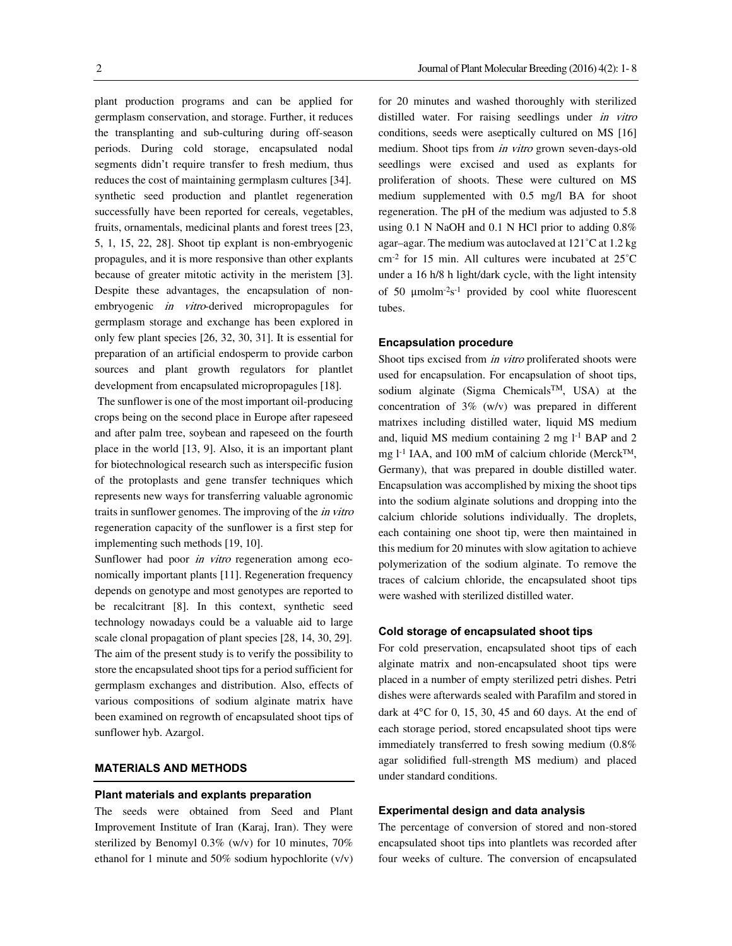plant production programs and can be applied for germplasm conservation, and storage. Further, it reduces the transplanting and sub-culturing during off-season periods. During cold storage, encapsulated nodal segments didn't require transfer to fresh medium, thus reduces the cost of maintaining germplasm cultures [34]. synthetic seed production and plantlet regeneration successfully have been reported for cereals, vegetables, fruits, ornamentals, medicinal plants and forest trees [23, 5, 1, 15, 22, 28]. Shoot tip explant is non-embryogenic propagules, and it is more responsive than other explants because of greater mitotic activity in the meristem [3]. Despite these advantages, the encapsulation of nonembryogenic *in vitro*-derived micropropagules for germplasm storage and exchange has been explored in only few plant species [26, 32, 30, 31]. It is essential for preparation of an artificial endosperm to provide carbon sources and plant growth regulators for plantlet development from encapsulated micropropagules [18].

 The sunflower is one of the most important oil-producing crops being on the second place in Europe after rapeseed and after palm tree, soybean and rapeseed on the fourth place in the world [13, 9]. Also, it is an important plant for biotechnological research such as interspecific fusion of the protoplasts and gene transfer techniques which represents new ways for transferring valuable agronomic traits in sunflower genomes. The improving of the *in vitro* regeneration capacity of the sunflower is a first step for implementing such methods [19, 10].

Sunflower had poor *in vitro* regeneration among economically important plants [11]. Regeneration frequency depends on genotype and most genotypes are reported to be recalcitrant [8]. In this context, synthetic seed technology nowadays could be a valuable aid to large scale clonal propagation of plant species [28, 14, 30, 29]. The aim of the present study is to verify the possibility to store the encapsulated shoot tips for a period sufficient for germplasm exchanges and distribution. Also, effects of various compositions of sodium alginate matrix have been examined on regrowth of encapsulated shoot tips of sunflower hyb. Azargol.

# **MATERIALS AND METHODS**

#### **Plant materials and explants preparation**

The seeds were obtained from Seed and Plant Improvement Institute of Iran (Karaj, Iran). They were sterilized by Benomyl 0.3% (w/v) for 10 minutes, 70% ethanol for 1 minute and 50% sodium hypochlorite (v/v) for 20 minutes and washed thoroughly with sterilized distilled water. For raising seedlings under in vitro conditions, seeds were aseptically cultured on MS [16] medium. Shoot tips from in vitro grown seven-days-old seedlings were excised and used as explants for proliferation of shoots. These were cultured on MS medium supplemented with 0.5 mg/l BA for shoot regeneration. The pH of the medium was adjusted to 5.8 using 0.1 N NaOH and 0.1 N HCl prior to adding 0.8% agar–agar. The medium was autoclaved at 121˚C at 1.2 kg cm-2 for 15 min. All cultures were incubated at 25˚C under a 16 h/8 h light/dark cycle, with the light intensity of 50 μmolm-2s-1 provided by cool white fluorescent tubes.

#### **Encapsulation procedure**

Shoot tips excised from *in vitro* proliferated shoots were used for encapsulation. For encapsulation of shoot tips, sodium alginate (Sigma ChemicalsTM, USA) at the concentration of 3% (w/v) was prepared in different matrixes including distilled water, liquid MS medium and, liquid MS medium containing  $2 \text{ mg } l^{-1}$  BAP and  $2$ mg l<sup>-1</sup> IAA, and 100 mM of calcium chloride (Merck<sup>TM</sup>, Germany), that was prepared in double distilled water. Encapsulation was accomplished by mixing the shoot tips into the sodium alginate solutions and dropping into the calcium chloride solutions individually. The droplets, each containing one shoot tip, were then maintained in this medium for 20 minutes with slow agitation to achieve polymerization of the sodium alginate. To remove the traces of calcium chloride, the encapsulated shoot tips were washed with sterilized distilled water.

# **Cold storage of encapsulated shoot tips**

For cold preservation, encapsulated shoot tips of each alginate matrix and non-encapsulated shoot tips were placed in a number of empty sterilized petri dishes. Petri dishes were afterwards sealed with Parafilm and stored in dark at 4°C for 0, 15, 30, 45 and 60 days. At the end of each storage period, stored encapsulated shoot tips were immediately transferred to fresh sowing medium (0.8% agar solidified full-strength MS medium) and placed under standard conditions.

#### **Experimental design and data analysis**

The percentage of conversion of stored and non-stored encapsulated shoot tips into plantlets was recorded after four weeks of culture. The conversion of encapsulated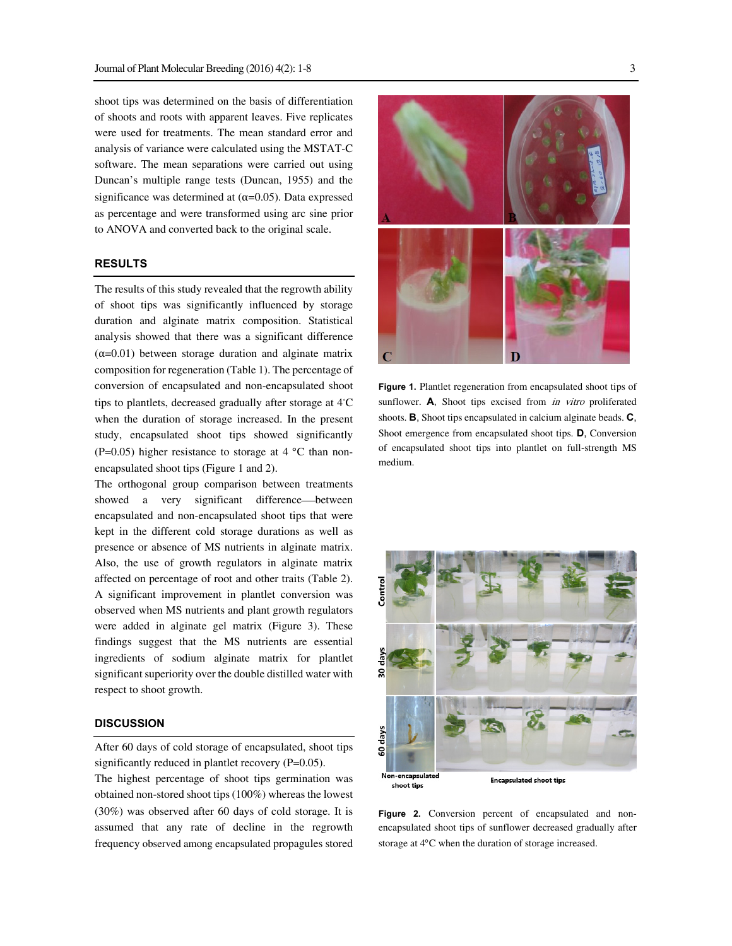shoot tips was determined on the basis of differentiation of shoots and roots with apparent leaves. Five replicates were used for treatments. The mean standard error and analysis of variance were calculated using the MSTAT-C software. The mean separations were carried out using Duncan's multiple range tests (Duncan, 1955) and the significance was determined at  $(\alpha=0.05)$ . Data expressed as percentage and were transformed using arc sine prior to ANOVA and converted back to the original scale.

# **RESULTS**

The results of this study revealed that the regrowth ability of shoot tips was significantly influenced by storage duration and alginate matrix composition. Statistical analysis showed that there was a significant difference  $(\alpha=0.01)$  between storage duration and alginate matrix composition for regeneration (Table 1). The percentage of conversion of encapsulated and non-encapsulated shoot tips to plantlets, decreased gradually after storage at 4◦ C when the duration of storage increased. In the present study, encapsulated shoot tips showed significantly (P=0.05) higher resistance to storage at  $4 °C$  than nonencapsulated shoot tips (Figure 1 and 2).

The orthogonal group comparison between treatments showed a very significant difference—between encapsulated and non-encapsulated shoot tips that were kept in the different cold storage durations as well as presence or absence of MS nutrients in alginate matrix. Also, the use of growth regulators in alginate matrix affected on percentage of root and other traits (Table 2). A significant improvement in plantlet conversion was observed when MS nutrients and plant growth regulators were added in alginate gel matrix (Figure 3). These findings suggest that the MS nutrients are essential ingredients of sodium alginate matrix for plantlet significant superiority over the double distilled water with respect to shoot growth.

#### **DISCUSSION**

After 60 days of cold storage of encapsulated, shoot tips significantly reduced in plantlet recovery (P=0.05).

The highest percentage of shoot tips germination was obtained non-stored shoot tips (100%) whereas the lowest (30%) was observed after 60 days of cold storage. It is assumed that any rate of decline in the regrowth frequency observed among encapsulated propagules stored



**Figure 1.** Plantlet regeneration from encapsulated shoot tips of sunflower. **A**, Shoot tips excised from *in vitro* proliferated shoots. **B**, Shoot tips encapsulated in calcium alginate beads. **C**, Shoot emergence from encapsulated shoot tips. **D**, Conversion of encapsulated shoot tips into plantlet on full-strength MS medium.



Figure 2. Conversion percent of encapsulated and nonencapsulated shoot tips of sunflower decreased gradually after storage at 4°C when the duration of storage increased.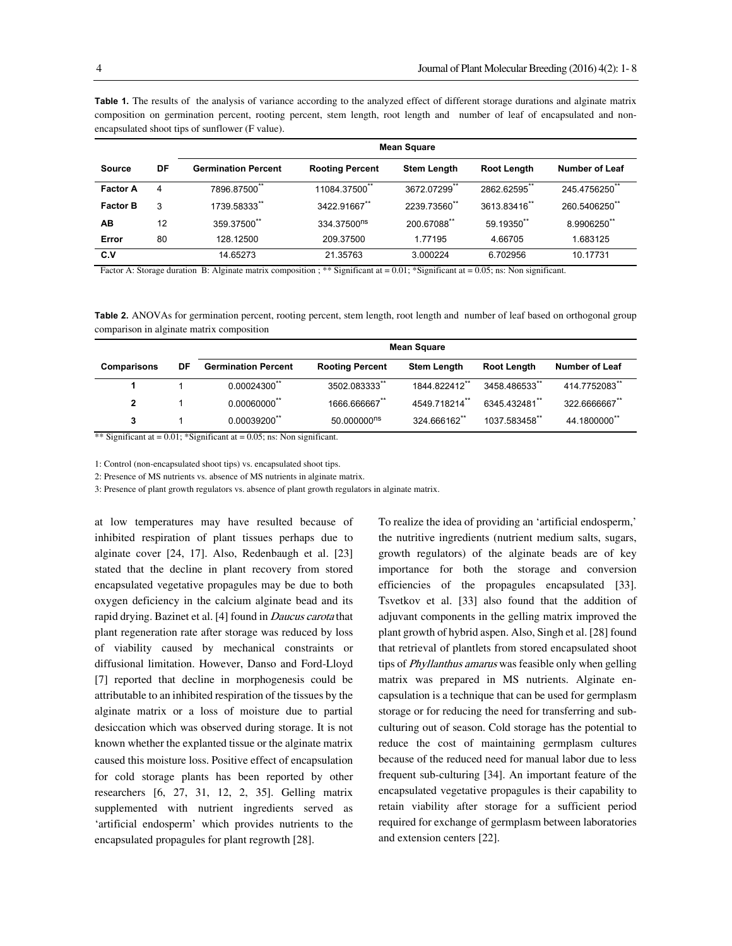|                 |    | <b>Mean Square</b>         |                         |                    |                    |                       |  |  |
|-----------------|----|----------------------------|-------------------------|--------------------|--------------------|-----------------------|--|--|
| <b>Source</b>   | DF | <b>Germination Percent</b> | <b>Rooting Percent</b>  | <b>Stem Length</b> | <b>Root Length</b> | <b>Number of Leaf</b> |  |  |
| <b>Factor A</b> | 4  | 7896.87500**               | 11084.37500**           | 3672.07299         | 2862.62595**       | 245.4756250**         |  |  |
| <b>Factor B</b> | 3  | 1739.58333**               | 3422.91667**            | 2239.73560**       | 3613.83416**       | 260.5406250**         |  |  |
| AB              | 12 | 359.37500**                | 334.37500 <sup>ns</sup> | 200.67088**        | 59.19350**         | 8.9906250**           |  |  |
| Error           | 80 | 128.12500                  | 209.37500               | 1.77195            | 4.66705            | 1.683125              |  |  |
| C.V             |    | 14.65273                   | 21.35763                | 3.000224           | 6.702956           | 10.17731              |  |  |

**Table 1.** The results of the analysis of variance according to the analyzed effect of different storage durations and alginate matrix composition on germination percent, rooting percent, stem length, root length and number of leaf of encapsulated and nonencapsulated shoot tips of sunflower (F value).

Factor A: Storage duration B: Alginate matrix composition ; \*\* Significant at = 0.01; \* Significant at = 0.05; ns: Non significant.

Table 2. ANOVAs for germination percent, rooting percent, stem length, root length and number of leaf based on orthogonal group comparison in alginate matrix composition

|                    |    | Mean Square                |                         |                    |               |                       |  |  |
|--------------------|----|----------------------------|-------------------------|--------------------|---------------|-----------------------|--|--|
| <b>Comparisons</b> | DF | <b>Germination Percent</b> | <b>Rooting Percent</b>  | <b>Stem Length</b> | Root Length   | <b>Number of Leaf</b> |  |  |
|                    |    | **<br>$0.00024300^{\circ}$ | 3502.083333             | 1844.822412        | 3458.486533** | 414.7752083**         |  |  |
| 2                  |    | $0.00060000$ <sup>**</sup> | 1666.666667**           | 4549.718214**      | 6345.432481** | 322.6666667**         |  |  |
| 3                  |    | $0.00039200$ **            | 50.000000 <sup>ns</sup> | 324.666162**       | 1037.583458** | 44.1800000**          |  |  |

\*\* Significant at  $= 0.01$ ; \*Significant at  $= 0.05$ ; ns: Non significant.

1: Control (non-encapsulated shoot tips) vs. encapsulated shoot tips.

2: Presence of MS nutrients vs. absence of MS nutrients in alginate matrix.

3: Presence of plant growth regulators vs. absence of plant growth regulators in alginate matrix.

at low temperatures may have resulted because of inhibited respiration of plant tissues perhaps due to alginate cover [24, 17]. Also, Redenbaugh et al. [23] stated that the decline in plant recovery from stored encapsulated vegetative propagules may be due to both oxygen deficiency in the calcium alginate bead and its rapid drying. Bazinet et al. [4] found in Daucus carota that plant regeneration rate after storage was reduced by loss of viability caused by mechanical constraints or diffusional limitation. However, Danso and Ford-Lloyd [7] reported that decline in morphogenesis could be attributable to an inhibited respiration of the tissues by the alginate matrix or a loss of moisture due to partial desiccation which was observed during storage. It is not known whether the explanted tissue or the alginate matrix caused this moisture loss. Positive effect of encapsulation for cold storage plants has been reported by other researchers [6, 27, 31, 12, 2, 35]. Gelling matrix supplemented with nutrient ingredients served as 'artificial endosperm' which provides nutrients to the encapsulated propagules for plant regrowth [28].

To realize the idea of providing an 'artificial endosperm,' the nutritive ingredients (nutrient medium salts, sugars, growth regulators) of the alginate beads are of key importance for both the storage and conversion efficiencies of the propagules encapsulated [33]. Tsvetkov et al. [33] also found that the addition of adjuvant components in the gelling matrix improved the plant growth of hybrid aspen. Also, Singh et al. [28] found that retrieval of plantlets from stored encapsulated shoot tips of Phyllanthus amarus was feasible only when gelling matrix was prepared in MS nutrients. Alginate encapsulation is a technique that can be used for germplasm storage or for reducing the need for transferring and subculturing out of season. Cold storage has the potential to reduce the cost of maintaining germplasm cultures because of the reduced need for manual labor due to less frequent sub-culturing [34]. An important feature of the encapsulated vegetative propagules is their capability to retain viability after storage for a sufficient period required for exchange of germplasm between laboratories and extension centers [22].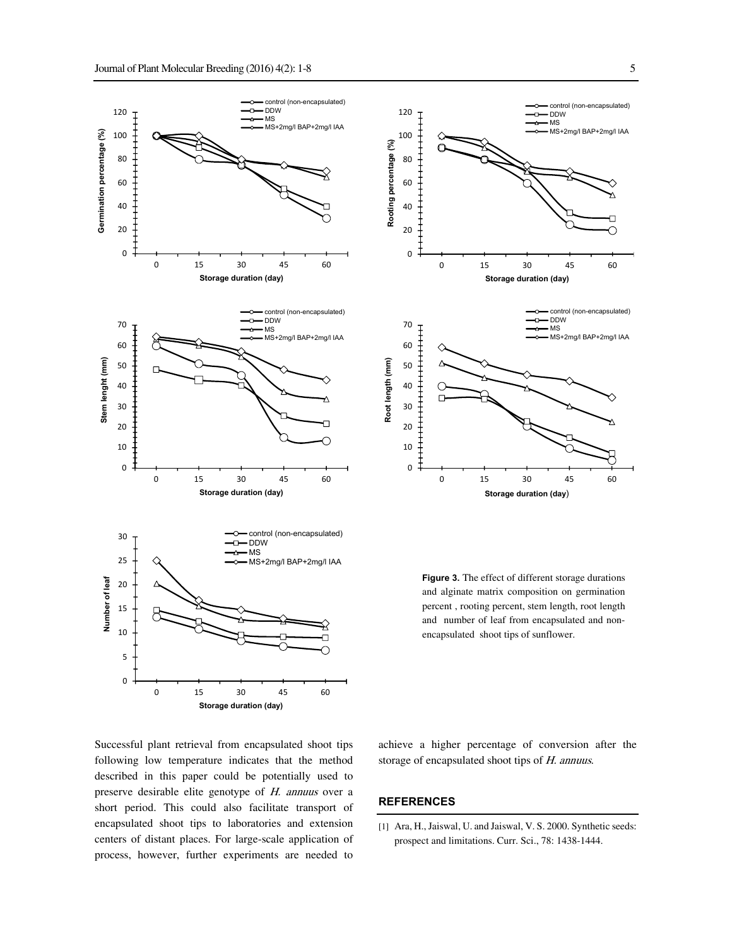



**Figure 3.** The effect of different storage durations and alginate matrix composition on germination percent , rooting percent, stem length, root length and number of leaf from encapsulated and nonencapsulated shoot tips of sunflower.

0 15 30 45 60

**Storage duration (day**)

Successful plant retrieval from encapsulated shoot tips following low temperature indicates that the method described in this paper could be potentially used to preserve desirable elite genotype of H. annuus over a short period. This could also facilitate transport of encapsulated shoot tips to laboratories and extension centers of distant places. For large-scale application of process, however, further experiments are needed to

achieve a higher percentage of conversion after the storage of encapsulated shoot tips of H. annuus.

#### **REFERENCES**

0

[1] Ara, H., Jaiswal, U. and Jaiswal, V. S. 2000. Synthetic seeds: prospect and limitations. Curr. Sci., 78: 1438-1444.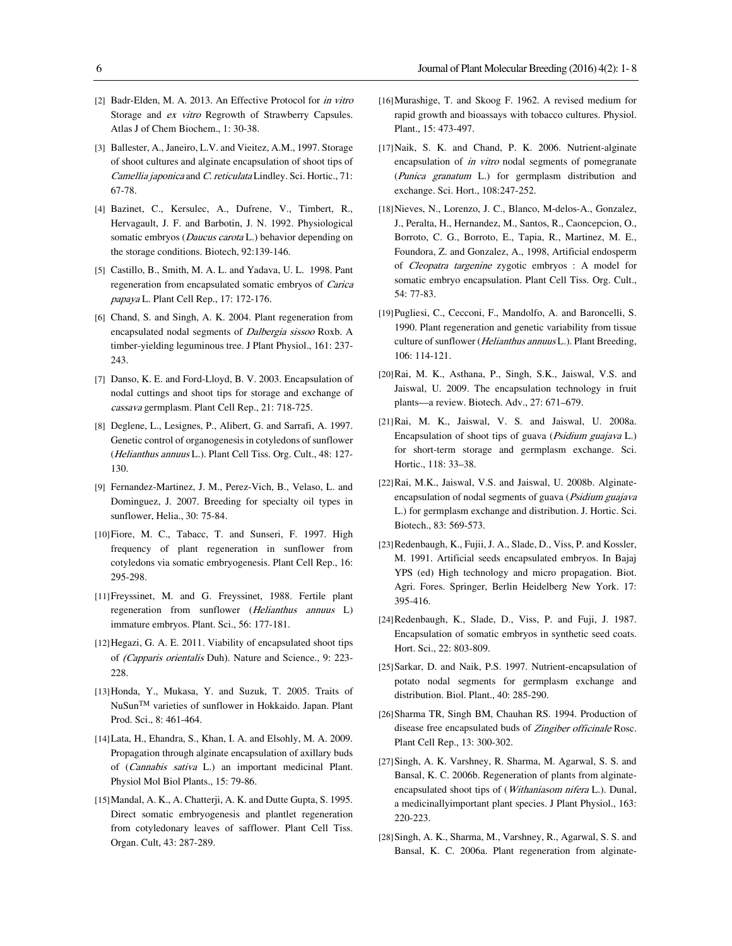- [2] Badr-Elden, M. A. 2013. An Effective Protocol for in vitro Storage and ex vitro Regrowth of Strawberry Capsules. Atlas J of Chem Biochem., 1: 30-38.
- [3] Ballester, A., Janeiro, L.V. and Vieitez, A.M., 1997. Storage of shoot cultures and alginate encapsulation of shoot tips of Camellia japonica and C. reticulata Lindley. Sci. Hortic., 71: 67-78.
- [4] Bazinet, C., Kersulec, A., Dufrene, V., Timbert, R., Hervagault, J. F. and Barbotin, J. N. 1992. Physiological somatic embryos (Daucus carota L.) behavior depending on the storage conditions. Biotech, 92:139-146.
- [5] Castillo, B., Smith, M. A. L. and Yadava, U. L. 1998. Pant regeneration from encapsulated somatic embryos of Carica papaya L. Plant Cell Rep., 17: 172-176.
- [6] Chand, S. and Singh, A. K. 2004. Plant regeneration from encapsulated nodal segments of Dalbergia sissoo Roxb. A timber-yielding leguminous tree. J Plant Physiol., 161: 237- 243.
- [7] Danso, K. E. and Ford-Lloyd, B. V. 2003. Encapsulation of nodal cuttings and shoot tips for storage and exchange of cassava germplasm. Plant Cell Rep., 21: 718-725.
- [8] Deglene, L., Lesignes, P., Alibert, G. and Sarrafi, A. 1997. Genetic control of organogenesis in cotyledons of sunflower (Helianthus annuus L.). Plant Cell Tiss. Org. Cult., 48: 127- 130.
- [9] Fernandez-Martinez, J. M., Perez-Vich, B., Velaso, L. and Dominguez, J. 2007. Breeding for specialty oil types in sunflower. Helia., 30: 75-84.
- [10]Fiore, M. C., Tabacc, T. and Sunseri, F. 1997. High frequency of plant regeneration in sunflower from cotyledons via somatic embryogenesis. Plant Cell Rep., 16: 295-298.
- [11]Freyssinet, M. and G. Freyssinet, 1988. Fertile plant regeneration from sunflower (Helianthus annuus L) immature embryos. Plant. Sci., 56: 177-181.
- [12]Hegazi, G. A. E. 2011. Viability of encapsulated shoot tips of (Capparis orientalis Duh). Nature and Science., 9: 223- 228.
- [13]Honda, Y., Mukasa, Y. and Suzuk, T. 2005. Traits of NuSunTM varieties of sunflower in Hokkaido. Japan. Plant Prod. Sci., 8: 461-464.
- [14]Lata, H., Ehandra, S., Khan, I. A. and Elsohly, M. A. 2009. Propagation through alginate encapsulation of axillary buds of (Cannabis sativa L.) an important medicinal Plant. Physiol Mol Biol Plants., 15: 79-86.
- [15]Mandal, A. K., A. Chatterji, A. K. and Dutte Gupta, S. 1995. Direct somatic embryogenesis and plantlet regeneration from cotyledonary leaves of safflower. Plant Cell Tiss. Organ. Cult, 43: 287-289.
- [16]Murashige, T. and Skoog F. 1962. A revised medium for rapid growth and bioassays with tobacco cultures. Physiol. Plant., 15: 473-497.
- [17]Naik, S. K. and Chand, P. K. 2006. Nutrient-alginate encapsulation of *in vitro* nodal segments of pomegranate (Punica granatum L.) for germplasm distribution and exchange. Sci. Hort., 108:247-252.
- [18]Nieves, N., Lorenzo, J. C., Blanco, M-delos-A., Gonzalez, J., Peralta, H., Hernandez, M., Santos, R., Caoncepcion, O., Borroto, C. G., Borroto, E., Tapia, R., Martinez, M. E., Foundora, Z. and Gonzalez, A., 1998, Artificial endosperm of Cleopatra targenine zygotic embryos : A model for somatic embryo encapsulation. Plant Cell Tiss. Org. Cult., 54: 77-83.
- [19]Pugliesi, C., Cecconi, F., Mandolfo, A. and Baroncelli, S. 1990. Plant regeneration and genetic variability from tissue culture of sunflower (*Helianthus annuus* L.). Plant Breeding, 106: 114-121.
- [20]Rai, M. K., Asthana, P., Singh, S.K., Jaiswal, V.S. and Jaiswal, U. 2009. The encapsulation technology in fruit plants—a review. Biotech. Adv., 27: 671–679.
- [21]Rai, M. K., Jaiswal, V. S. and Jaiswal, U. 2008a. Encapsulation of shoot tips of guava (Psidium guajava L.) for short-term storage and germplasm exchange. Sci. Hortic., 118: 33–38.
- [22]Rai, M.K., Jaiswal, V.S. and Jaiswal, U. 2008b. Alginateencapsulation of nodal segments of guava (Psidium guajava L.) for germplasm exchange and distribution. J. Hortic. Sci. Biotech., 83: 569-573.
- [23]Redenbaugh, K., Fujii, J. A., Slade, D., Viss, P. and Kossler, M. 1991. Artificial seeds encapsulated embryos. In Bajaj YPS (ed) High technology and micro propagation. Biot. Agri. Fores. Springer, Berlin Heidelberg New York. 17: 395-416.
- [24]Redenbaugh, K., Slade, D., Viss, P. and Fuji, J. 1987. Encapsulation of somatic embryos in synthetic seed coats. Hort. Sci., 22: 803-809.
- [25]Sarkar, D. and Naik, P.S. 1997. Nutrient-encapsulation of potato nodal segments for germplasm exchange and distribution. Biol. Plant., 40: 285-290.
- [26]Sharma TR, Singh BM, Chauhan RS. 1994. Production of disease free encapsulated buds of Zingiber officinale Rosc. Plant Cell Rep., 13: 300-302.
- [27]Singh, A. K. Varshney, R. Sharma, M. Agarwal, S. S. and Bansal, K. C. 2006b. Regeneration of plants from alginateencapsulated shoot tips of (Withaniasom nifera L.). Dunal, a medicinallyimportant plant species. J Plant Physiol., 163: 220-223.
- [28]Singh, A. K., Sharma, M., Varshney, R., Agarwal, S. S. and Bansal, K. C. 2006a. Plant regeneration from alginate-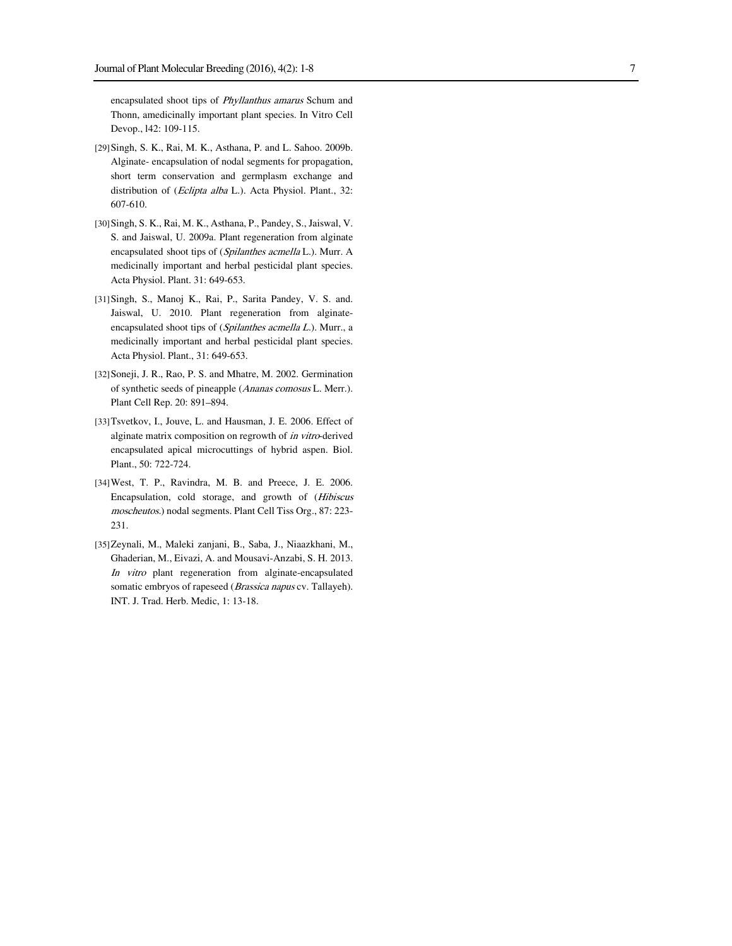encapsulated shoot tips of Phyllanthus amarus Schum and Thonn, amedicinally important plant species. In Vitro Cell Devop., l42: 109-115.

- [29]Singh, S. K., Rai, M. K., Asthana, P. and L. Sahoo. 2009b. Alginate- encapsulation of nodal segments for propagation, short term conservation and germplasm exchange and distribution of (Eclipta alba L.). Acta Physiol. Plant., 32: 607-610.
- [30]Singh, S. K., Rai, M. K., Asthana, P., Pandey, S., Jaiswal, V. S. and Jaiswal, U. 2009a. Plant regeneration from alginate encapsulated shoot tips of (Spilanthes acmella L.). Murr. A medicinally important and herbal pesticidal plant species. Acta Physiol. Plant. 31: 649-653 .
- [31]Singh, S., Manoj K., Rai, P., Sarita Pandey, V. S. and. Jaiswal, U. 2010. Plant regeneration from alginateencapsulated shoot tips of (Spilanthes acmella L.). Murr., a medicinally important and herbal pesticidal plant species. Acta Physiol. Plant., 31: 649-653.
- [32]Soneji, J. R., Rao, P. S. and Mhatre, M. 2002. Germination of synthetic seeds of pineapple (Ananas comosus L. Merr.). Plant Cell Rep. 20: 891–894.
- [33]Tsvetkov, I., Jouve, L. and Hausman, J. E. 2006. Effect of alginate matrix composition on regrowth of in vitro-derived encapsulated apical microcuttings of hybrid aspen. Biol. Plant., 50: 722-724.
- [34] West, T. P., Ravindra, M. B. and Preece, J. E. 2006. Encapsulation, cold storage, and growth of (Hibiscus moscheutos.) nodal segments. Plant Cell Tiss Org., 87: 223- 231.
- [35]Zeynali, M., Maleki zanjani, B., Saba, J., Niaazkhani, M., Ghaderian, M., Eivazi, A. and Mousavi-Anzabi, S. H. 2013. In vitro plant regeneration from alginate-encapsulated somatic embryos of rapeseed (Brassica napus cv. Tallayeh). INT. J. Trad. Herb. Medic, 1: 13-18.